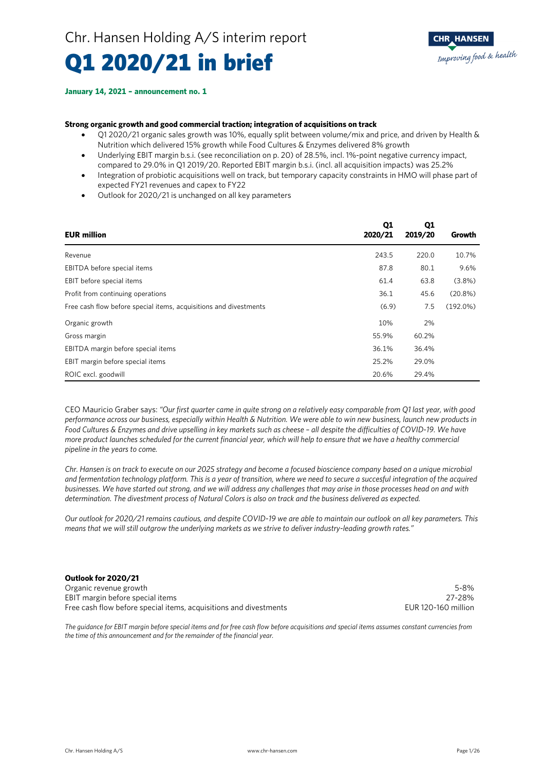## Q1 2020/21 in brief

#### **January 14, 2021 – announcement no. 1**

### **Strong organic growth and good commercial traction; integration of acquisitions on track**

- Q1 2020/21 organic sales growth was 10%, equally split between volume/mix and price, and driven by Health & Nutrition which delivered 15% growth while Food Cultures & Enzymes delivered 8% growth
- Underlying EBIT margin b.s.i. (see reconciliation on p. 20) of 28.5%, incl. 1%-point negative currency impact, compared to 29.0% in Q1 2019/20. Reported EBIT margin b.s.i. (incl. all acquisition impacts) was 25.2%
- Integration of probiotic acquisitions well on track, but temporary capacity constraints in HMO will phase part of expected FY21 revenues and capex to FY22
- Outlook for 2020/21 is unchanged on all key parameters

| <b>EUR million</b>                                                | Q1<br>2020/21 | Q1<br>2019/20 | Growth      |
|-------------------------------------------------------------------|---------------|---------------|-------------|
| Revenue                                                           | 243.5         | 220.0         | 10.7%       |
| EBITDA before special items                                       | 87.8          | 80.1          | 9.6%        |
| EBIT before special items                                         | 61.4          | 63.8          | $(3.8\%)$   |
| Profit from continuing operations                                 | 36.1          | 45.6          | $(20.8\%)$  |
| Free cash flow before special items, acquisitions and divestments | (6.9)         | 7.5           | $(192.0\%)$ |
| Organic growth                                                    | 10%           | 2%            |             |
| Gross margin                                                      | 55.9%         | 60.2%         |             |
| EBITDA margin before special items                                | 36.1%         | 36.4%         |             |
| EBIT margin before special items                                  | 25.2%         | 29.0%         |             |
| ROIC excl. goodwill                                               | 20.6%         | 29.4%         |             |

CEO Mauricio Graber says: *"Our first quarter came in quite strong on a relatively easy comparable from Q1 last year, with good performance across our business, especially within Health & Nutrition. We were able to win new business, launch new products in Food Cultures & Enzymes and drive upselling in key markets such as cheese – all despite the difficulties of COVID-19. We have more product launches scheduled for the current financial year, which will help to ensure that we have a healthy commercial pipeline in the years to come.* 

*Chr. Hansen is on track to execute on our 2025 strategy and become a focused bioscience company based on a unique microbial and fermentation technology platform. This is a year of transition, where we need to secure a succesful integration of the acquired businesses. We have started out strong, and we will address any challenges that may arise in those processes head on and with determination. The divestment process of Natural Colors is also on track and the business delivered as expected.* 

*Our outlook for 2020/21 remains cautious, and despite COVID-19 we are able to maintain our outlook on all key parameters. This means that we will still outgrow the underlying markets as we strive to deliver industry-leading growth rates."* 

### **Outlook for 2020/21**

Organic revenue growth 5-8% EBIT margin before special items<br>
Free cash flow before special items, acquisitions and divestments<br>
FLUR 120-160 million Free cash flow before special items, acquisitions and divestments

*The guidance for EBIT margin before special items and for free cash flow before acquisitions and special items assumes constant currencies from the time of this announcement and for the remainder of the financial year.*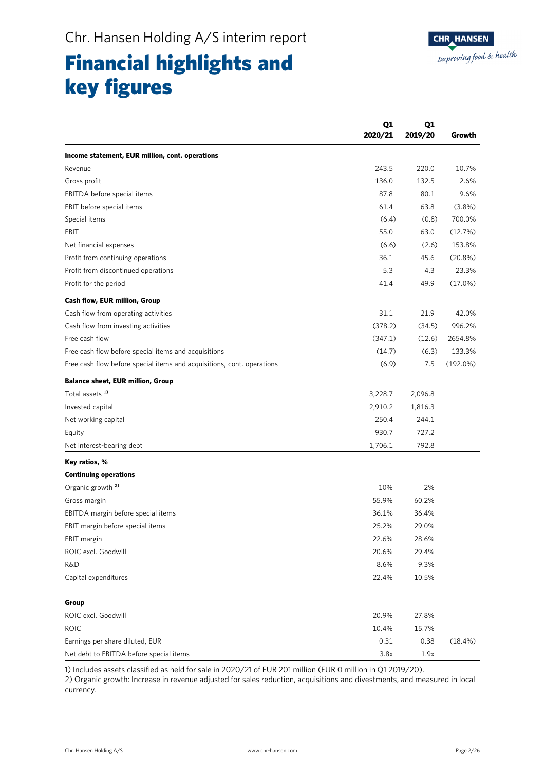## Financial highlights and key figures

| Income statement, EUR million, cont. operations<br>243.5<br>220.0<br>Revenue<br>136.0<br>Gross profit<br>132.5<br>87.8<br>EBITDA before special items<br>80.1<br>61.4<br>63.8<br>EBIT before special items<br>Special items<br>(6.4)<br>(0.8)<br>55.0<br>63.0<br>EBIT<br>(6.6)<br>Net financial expenses<br>(2.6)<br>36.1<br>45.6<br>Profit from continuing operations<br>5.3<br>Profit from discontinued operations<br>4.3<br>41.4<br>49.9<br>Profit for the period<br>Cash flow, EUR million, Group<br>31.1<br>Cash flow from operating activities<br>21.9<br>(378.2)<br>Cash flow from investing activities<br>(34.5)<br>Free cash flow<br>(347.1)<br>(12.6)<br>Free cash flow before special items and acquisitions<br>(14.7)<br>(6.3)<br>(6.9)<br>7.5<br>Free cash flow before special items and acquisitions, cont. operations<br><b>Balance sheet, EUR million, Group</b><br>Total assets <sup>1)</sup><br>3,228.7<br>2,096.8<br>Invested capital<br>2,910.2<br>1,816.3<br>250.4<br>244.1<br>Net working capital<br>930.7<br>727.2<br>Equity |                           | Q1<br>Q1<br>2020/21<br>2019/20 | Growth      |
|-----------------------------------------------------------------------------------------------------------------------------------------------------------------------------------------------------------------------------------------------------------------------------------------------------------------------------------------------------------------------------------------------------------------------------------------------------------------------------------------------------------------------------------------------------------------------------------------------------------------------------------------------------------------------------------------------------------------------------------------------------------------------------------------------------------------------------------------------------------------------------------------------------------------------------------------------------------------------------------------------------------------------------------------------------|---------------------------|--------------------------------|-------------|
|                                                                                                                                                                                                                                                                                                                                                                                                                                                                                                                                                                                                                                                                                                                                                                                                                                                                                                                                                                                                                                                     |                           |                                |             |
|                                                                                                                                                                                                                                                                                                                                                                                                                                                                                                                                                                                                                                                                                                                                                                                                                                                                                                                                                                                                                                                     |                           |                                | 10.7%       |
|                                                                                                                                                                                                                                                                                                                                                                                                                                                                                                                                                                                                                                                                                                                                                                                                                                                                                                                                                                                                                                                     |                           |                                | 2.6%        |
|                                                                                                                                                                                                                                                                                                                                                                                                                                                                                                                                                                                                                                                                                                                                                                                                                                                                                                                                                                                                                                                     |                           |                                | 9.6%        |
|                                                                                                                                                                                                                                                                                                                                                                                                                                                                                                                                                                                                                                                                                                                                                                                                                                                                                                                                                                                                                                                     |                           |                                | $(3.8\%)$   |
|                                                                                                                                                                                                                                                                                                                                                                                                                                                                                                                                                                                                                                                                                                                                                                                                                                                                                                                                                                                                                                                     |                           |                                | 700.0%      |
|                                                                                                                                                                                                                                                                                                                                                                                                                                                                                                                                                                                                                                                                                                                                                                                                                                                                                                                                                                                                                                                     |                           |                                | (12.7%)     |
|                                                                                                                                                                                                                                                                                                                                                                                                                                                                                                                                                                                                                                                                                                                                                                                                                                                                                                                                                                                                                                                     |                           |                                | 153.8%      |
|                                                                                                                                                                                                                                                                                                                                                                                                                                                                                                                                                                                                                                                                                                                                                                                                                                                                                                                                                                                                                                                     |                           |                                | (20.8%)     |
|                                                                                                                                                                                                                                                                                                                                                                                                                                                                                                                                                                                                                                                                                                                                                                                                                                                                                                                                                                                                                                                     |                           |                                | 23.3%       |
|                                                                                                                                                                                                                                                                                                                                                                                                                                                                                                                                                                                                                                                                                                                                                                                                                                                                                                                                                                                                                                                     |                           |                                | (17.0%)     |
|                                                                                                                                                                                                                                                                                                                                                                                                                                                                                                                                                                                                                                                                                                                                                                                                                                                                                                                                                                                                                                                     |                           |                                |             |
|                                                                                                                                                                                                                                                                                                                                                                                                                                                                                                                                                                                                                                                                                                                                                                                                                                                                                                                                                                                                                                                     |                           |                                | 42.0%       |
|                                                                                                                                                                                                                                                                                                                                                                                                                                                                                                                                                                                                                                                                                                                                                                                                                                                                                                                                                                                                                                                     |                           |                                | 996.2%      |
|                                                                                                                                                                                                                                                                                                                                                                                                                                                                                                                                                                                                                                                                                                                                                                                                                                                                                                                                                                                                                                                     |                           |                                | 2654.8%     |
|                                                                                                                                                                                                                                                                                                                                                                                                                                                                                                                                                                                                                                                                                                                                                                                                                                                                                                                                                                                                                                                     |                           |                                | 133.3%      |
|                                                                                                                                                                                                                                                                                                                                                                                                                                                                                                                                                                                                                                                                                                                                                                                                                                                                                                                                                                                                                                                     |                           |                                | $(192.0\%)$ |
|                                                                                                                                                                                                                                                                                                                                                                                                                                                                                                                                                                                                                                                                                                                                                                                                                                                                                                                                                                                                                                                     |                           |                                |             |
|                                                                                                                                                                                                                                                                                                                                                                                                                                                                                                                                                                                                                                                                                                                                                                                                                                                                                                                                                                                                                                                     |                           |                                |             |
|                                                                                                                                                                                                                                                                                                                                                                                                                                                                                                                                                                                                                                                                                                                                                                                                                                                                                                                                                                                                                                                     |                           |                                |             |
|                                                                                                                                                                                                                                                                                                                                                                                                                                                                                                                                                                                                                                                                                                                                                                                                                                                                                                                                                                                                                                                     |                           |                                |             |
|                                                                                                                                                                                                                                                                                                                                                                                                                                                                                                                                                                                                                                                                                                                                                                                                                                                                                                                                                                                                                                                     |                           |                                |             |
|                                                                                                                                                                                                                                                                                                                                                                                                                                                                                                                                                                                                                                                                                                                                                                                                                                                                                                                                                                                                                                                     | Net interest-bearing debt | 1,706.1<br>792.8               |             |
| Key ratios, %                                                                                                                                                                                                                                                                                                                                                                                                                                                                                                                                                                                                                                                                                                                                                                                                                                                                                                                                                                                                                                       |                           |                                |             |
| <b>Continuing operations</b>                                                                                                                                                                                                                                                                                                                                                                                                                                                                                                                                                                                                                                                                                                                                                                                                                                                                                                                                                                                                                        |                           |                                |             |
| Organic growth <sup>2)</sup><br>10%<br>2%                                                                                                                                                                                                                                                                                                                                                                                                                                                                                                                                                                                                                                                                                                                                                                                                                                                                                                                                                                                                           |                           |                                |             |
| 55.9%<br>60.2%<br>Gross margin                                                                                                                                                                                                                                                                                                                                                                                                                                                                                                                                                                                                                                                                                                                                                                                                                                                                                                                                                                                                                      |                           |                                |             |
| 36.1%<br>36.4%<br>EBITDA margin before special items                                                                                                                                                                                                                                                                                                                                                                                                                                                                                                                                                                                                                                                                                                                                                                                                                                                                                                                                                                                                |                           |                                |             |
| 25.2%<br>29.0%<br>EBIT margin before special items                                                                                                                                                                                                                                                                                                                                                                                                                                                                                                                                                                                                                                                                                                                                                                                                                                                                                                                                                                                                  |                           |                                |             |
| 22.6%<br>28.6%<br>EBIT margin                                                                                                                                                                                                                                                                                                                                                                                                                                                                                                                                                                                                                                                                                                                                                                                                                                                                                                                                                                                                                       |                           |                                |             |
| ROIC excl. Goodwill<br>20.6%<br>29.4%                                                                                                                                                                                                                                                                                                                                                                                                                                                                                                                                                                                                                                                                                                                                                                                                                                                                                                                                                                                                               |                           |                                |             |
| <b>R&amp;D</b><br>9.3%<br>8.6%                                                                                                                                                                                                                                                                                                                                                                                                                                                                                                                                                                                                                                                                                                                                                                                                                                                                                                                                                                                                                      |                           |                                |             |
| 22.4%<br>Capital expenditures<br>10.5%                                                                                                                                                                                                                                                                                                                                                                                                                                                                                                                                                                                                                                                                                                                                                                                                                                                                                                                                                                                                              |                           |                                |             |
| Group                                                                                                                                                                                                                                                                                                                                                                                                                                                                                                                                                                                                                                                                                                                                                                                                                                                                                                                                                                                                                                               |                           |                                |             |
| ROIC excl. Goodwill<br>20.9%<br>27.8%                                                                                                                                                                                                                                                                                                                                                                                                                                                                                                                                                                                                                                                                                                                                                                                                                                                                                                                                                                                                               |                           |                                |             |
| <b>ROIC</b><br>15.7%<br>10.4%                                                                                                                                                                                                                                                                                                                                                                                                                                                                                                                                                                                                                                                                                                                                                                                                                                                                                                                                                                                                                       |                           |                                |             |
| Earnings per share diluted, EUR<br>0.31<br>0.38                                                                                                                                                                                                                                                                                                                                                                                                                                                                                                                                                                                                                                                                                                                                                                                                                                                                                                                                                                                                     |                           |                                | (18.4%)     |
| Net debt to EBITDA before special items<br>3.8x<br>1.9x                                                                                                                                                                                                                                                                                                                                                                                                                                                                                                                                                                                                                                                                                                                                                                                                                                                                                                                                                                                             |                           |                                |             |

1) Includes assets classified as held for sale in 2020/21 of EUR 201 million (EUR 0 million in Q1 2019/20).

2) Organic growth: Increase in revenue adjusted for sales reduction, acquisitions and divestments, and measured in local currency.

**CHR\_HANSEN** 

Improving food & health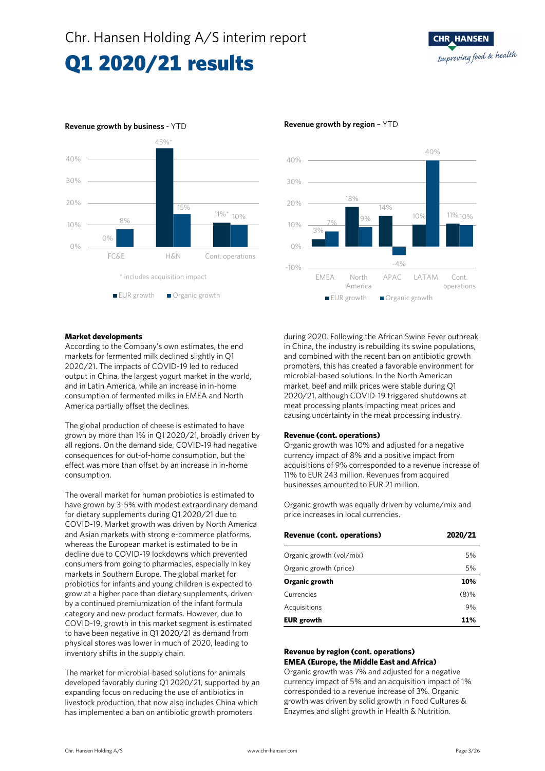### Q1 2020/21 results







#### **Market developments**

According to the Company's own estimates, the end markets for fermented milk declined slightly in Q1 2020/21. The impacts of COVID-19 led to reduced output in China, the largest yogurt market in the world, and in Latin America, while an increase in in-home consumption of fermented milks in EMEA and North America partially offset the declines.

The global production of cheese is estimated to have grown by more than 1% in Q1 2020/21, broadly driven by all regions. On the demand side, COVID-19 had negative consequences for out-of-home consumption, but the effect was more than offset by an increase in in-home consumption.

The overall market for human probiotics is estimated to have grown by 3-5% with modest extraordinary demand for dietary supplements during Q1 2020/21 due to COVID-19. Market growth was driven by North America and Asian markets with strong e-commerce platforms, whereas the European market is estimated to be in decline due to COVID-19 lockdowns which prevented consumers from going to pharmacies, especially in key markets in Southern Europe. The global market for probiotics for infants and young children is expected to grow at a higher pace than dietary supplements, driven by a continued premiumization of the infant formula category and new product formats. However, due to COVID-19, growth in this market segment is estimated to have been negative in Q1 2020/21 as demand from physical stores was lower in much of 2020, leading to inventory shifts in the supply chain.

The market for microbial-based solutions for animals developed favorably during Q1 2020/21, supported by an expanding focus on reducing the use of antibiotics in livestock production, that now also includes China which has implemented a ban on antibiotic growth promoters

during 2020. Following the African Swine Fever outbreak in China, the industry is rebuilding its swine populations, and combined with the recent ban on antibiotic growth promoters, this has created a favorable environment for microbial-based solutions. In the North American market, beef and milk prices were stable during Q1 2020/21, although COVID-19 triggered shutdowns at meat processing plants impacting meat prices and causing uncertainty in the meat processing industry.

#### **Revenue (cont. operations)**

Organic growth was 10% and adjusted for a negative currency impact of 8% and a positive impact from acquisitions of 9% corresponded to a revenue increase of 11% to EUR 243 million. Revenues from acquired businesses amounted to EUR 21 million.

Organic growth was equally driven by volume/mix and price increases in local currencies.

| Revenue (cont. operations) | 2020/21 |
|----------------------------|---------|
| Organic growth (vol/mix)   | 5%      |
| Organic growth (price)     | 5%      |
| Organic growth             | 10%     |
| Currencies                 | $(8)\%$ |
| Acquisitions               | 9%      |
| <b>EUR</b> growth          | 11%     |

#### **Revenue by region (cont. operations) EMEA (Europe, the Middle East and Africa)**

Organic growth was 7% and adjusted for a negative currency impact of 5% and an acquisition impact of 1% corresponded to a revenue increase of 3%. Organic growth was driven by solid growth in Food Cultures & Enzymes and slight growth in Health & Nutrition.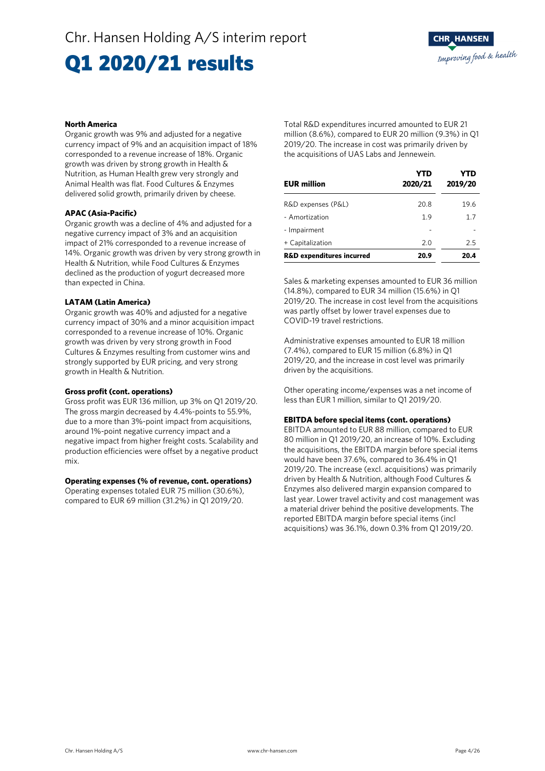## Q1 2020/21 results

### **North America**

Organic growth was 9% and adjusted for a negative currency impact of 9% and an acquisition impact of 18% corresponded to a revenue increase of 18%. Organic growth was driven by strong growth in Health & Nutrition, as Human Health grew very strongly and Animal Health was flat. Food Cultures & Enzymes delivered solid growth, primarily driven by cheese.

### **APAC (Asia-Pacific)**

Organic growth was a decline of 4% and adjusted for a negative currency impact of 3% and an acquisition impact of 21% corresponded to a revenue increase of 14%. Organic growth was driven by very strong growth in Health & Nutrition, while Food Cultures & Enzymes declined as the production of yogurt decreased more than expected in China.

### **LATAM (Latin America)**

Organic growth was 40% and adjusted for a negative currency impact of 30% and a minor acquisition impact corresponded to a revenue increase of 10%. Organic growth was driven by very strong growth in Food Cultures & Enzymes resulting from customer wins and strongly supported by EUR pricing, and very strong growth in Health & Nutrition.

### **Gross profit (cont. operations)**

Gross profit was EUR 136 million, up 3% on Q1 2019/20. The gross margin decreased by 4.4%-points to 55.9%, due to a more than 3%-point impact from acquisitions, around 1%-point negative currency impact and a negative impact from higher freight costs. Scalability and production efficiencies were offset by a negative product mix.

### **Operating expenses (% of revenue, cont. operations)**

Operating expenses totaled EUR 75 million (30.6%), compared to EUR 69 million (31.2%) in Q1 2019/20. Total R&D expenditures incurred amounted to EUR 21 million (8.6%), compared to EUR 20 million (9.3%) in Q1 2019/20. The increase in cost was primarily driven by the acquisitions of UAS Labs and Jennewein.

| <b>EUR million</b>                   | <b>YTD</b><br>2020/21 | YTD<br>2019/20 |
|--------------------------------------|-----------------------|----------------|
| R&D expenses (P&L)                   | 20.8                  | 19.6           |
| - Amortization                       | 1.9                   | 1.7            |
| - Impairment                         |                       |                |
| + Capitalization                     | 2.0                   | 2.5            |
| <b>R&amp;D expenditures incurred</b> | 20.9                  | 20.4           |

Sales & marketing expenses amounted to EUR 36 million (14.8%), compared to EUR 34 million (15.6%) in Q1 2019/20. The increase in cost level from the acquisitions was partly offset by lower travel expenses due to COVID-19 travel restrictions.

Administrative expenses amounted to EUR 18 million (7.4%), compared to EUR 15 million (6.8%) in Q1 2019/20, and the increase in cost level was primarily driven by the acquisitions.

Other operating income/expenses was a net income of less than EUR 1 million, similar to Q1 2019/20.

### **EBITDA before special items (cont. operations)**

EBITDA amounted to EUR 88 million, compared to EUR 80 million in Q1 2019/20, an increase of 10%. Excluding the acquisitions, the EBITDA margin before special items would have been 37.6%, compared to 36.4% in Q1 2019/20. The increase (excl. acquisitions) was primarily driven by Health & Nutrition, although Food Cultures & Enzymes also delivered margin expansion compared to last year. Lower travel activity and cost management was a material driver behind the positive developments. The reported EBITDA margin before special items (incl acquisitions) was 36.1%, down 0.3% from Q1 2019/20.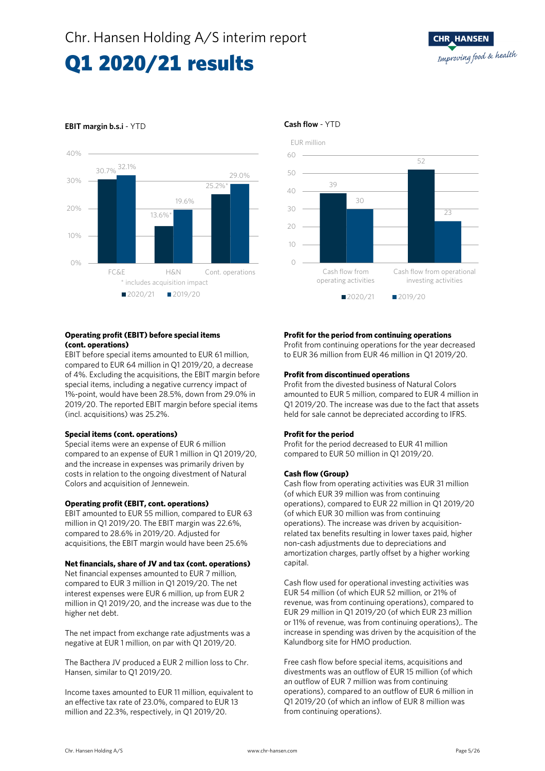### Q1 2020/21 results



### **EBIT margin b.s.i** - YTD **Cash flow** - YTD

### **Operating profit (EBIT) before special items (cont. operations)**

EBIT before special items amounted to EUR 61 million, compared to EUR 64 million in Q1 2019/20, a decrease of 4%. Excluding the acquisitions, the EBIT margin before special items, including a negative currency impact of 1%-point, would have been 28.5%, down from 29.0% in 2019/20. The reported EBIT margin before special items (incl. acquisitions) was 25.2%.

### **Special items (cont. operations)**

Special items were an expense of EUR 6 million compared to an expense of EUR 1 million in Q1 2019/20, and the increase in expenses was primarily driven by costs in relation to the ongoing divestment of Natural Colors and acquisition of Jennewein.

### **Operating profit (EBIT, cont. operations)**

EBIT amounted to EUR 55 million, compared to EUR 63 million in Q1 2019/20. The EBIT margin was 22.6%, compared to 28.6% in 2019/20. Adjusted for acquisitions, the EBIT margin would have been 25.6%

### **Net financials, share of JV and tax (cont. operations)**

Net financial expenses amounted to EUR 7 million, compared to EUR 3 million in Q1 2019/20. The net interest expenses were EUR 6 million, up from EUR 2 million in Q1 2019/20, and the increase was due to the higher net debt.

The net impact from exchange rate adjustments was a negative at EUR 1 million, on par with Q1 2019/20.

The Bacthera JV produced a EUR 2 million loss to Chr. Hansen, similar to Q1 2019/20.

Income taxes amounted to EUR 11 million, equivalent to an effective tax rate of 23.0%, compared to EUR 13 million and 22.3%, respectively, in Q1 2019/20.



### **Profit for the period from continuing operations**

Profit from continuing operations for the year decreased to EUR 36 million from EUR 46 million in Q1 2019/20.

### **Profit from discontinued operations**

Profit from the divested business of Natural Colors amounted to EUR 5 million, compared to EUR 4 million in Q1 2019/20. The increase was due to the fact that assets held for sale cannot be depreciated according to IFRS.

### **Profit for the period**

Profit for the period decreased to EUR 41 million compared to EUR 50 million in Q1 2019/20.

### **Cash flow (Group)**

Cash flow from operating activities was EUR 31 million (of which EUR 39 million was from continuing operations), compared to EUR 22 million in Q1 2019/20 (of which EUR 30 million was from continuing operations). The increase was driven by acquisitionrelated tax benefits resulting in lower taxes paid, higher non-cash adjustments due to depreciations and amortization charges, partly offset by a higher working capital.

Cash flow used for operational investing activities was EUR 54 million (of which EUR 52 million, or 21% of revenue, was from continuing operations), compared to EUR 29 million in Q1 2019/20 (of which EUR 23 million or 11% of revenue, was from continuing operations),. The increase in spending was driven by the acquisition of the Kalundborg site for HMO production.

Free cash flow before special items, acquisitions and divestments was an outflow of EUR 15 million (of which an outflow of EUR 7 million was from continuing operations), compared to an outflow of EUR 6 million in Q1 2019/20 (of which an inflow of EUR 8 million was from continuing operations).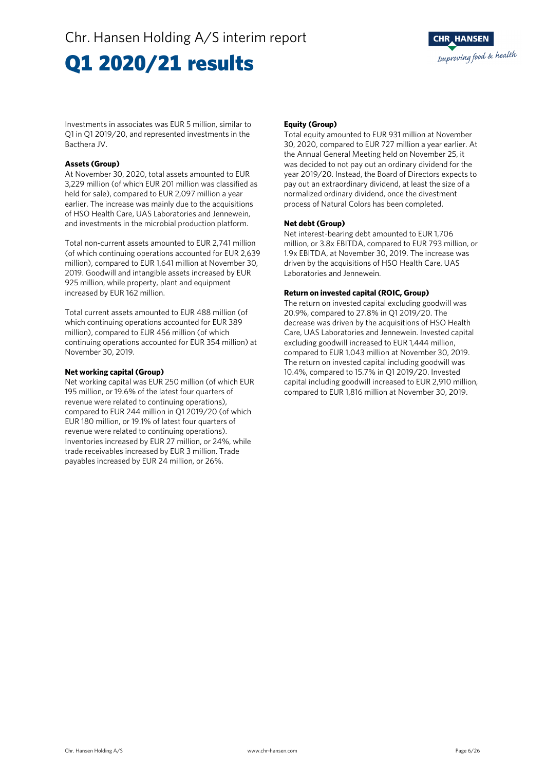## Q1 2020/21 results

Investments in associates was EUR 5 million, similar to Q1 in Q1 2019/20, and represented investments in the Bacthera JV.

### **Assets (Group)**

At November 30, 2020, total assets amounted to EUR 3,229 million (of which EUR 201 million was classified as held for sale), compared to EUR 2,097 million a year earlier. The increase was mainly due to the acquisitions of HSO Health Care, UAS Laboratories and Jennewein, and investments in the microbial production platform.

Total non-current assets amounted to EUR 2,741 million (of which continuing operations accounted for EUR 2,639 million), compared to EUR 1,641 million at November 30, 2019. Goodwill and intangible assets increased by EUR 925 million, while property, plant and equipment increased by EUR 162 million.

Total current assets amounted to EUR 488 million (of which continuing operations accounted for EUR 389 million), compared to EUR 456 million (of which continuing operations accounted for EUR 354 million) at November 30, 2019.

### **Net working capital (Group)**

Net working capital was EUR 250 million (of which EUR 195 million, or 19.6% of the latest four quarters of revenue were related to continuing operations), compared to EUR 244 million in Q1 2019/20 (of which EUR 180 million, or 19.1% of latest four quarters of revenue were related to continuing operations). Inventories increased by EUR 27 million, or 24%, while trade receivables increased by EUR 3 million. Trade payables increased by EUR 24 million, or 26%.

### **Equity (Group)**

Total equity amounted to EUR 931 million at November 30, 2020, compared to EUR 727 million a year earlier. At the Annual General Meeting held on November 25, it was decided to not pay out an ordinary dividend for the year 2019/20. Instead, the Board of Directors expects to pay out an extraordinary dividend, at least the size of a normalized ordinary dividend, once the divestment process of Natural Colors has been completed.

### **Net debt (Group)**

Net interest-bearing debt amounted to EUR 1,706 million, or 3.8x EBITDA, compared to EUR 793 million, or 1.9x EBITDA, at November 30, 2019. The increase was driven by the acquisitions of HSO Health Care, UAS Laboratories and Jennewein.

### **Return on invested capital (ROIC, Group)**

The return on invested capital excluding goodwill was 20.9%, compared to 27.8% in Q1 2019/20. The decrease was driven by the acquisitions of HSO Health Care, UAS Laboratories and Jennewein. Invested capital excluding goodwill increased to EUR 1,444 million, compared to EUR 1,043 million at November 30, 2019. The return on invested capital including goodwill was 10.4%, compared to 15.7% in Q1 2019/20. Invested capital including goodwill increased to EUR 2,910 million, compared to EUR 1,816 million at November 30, 2019.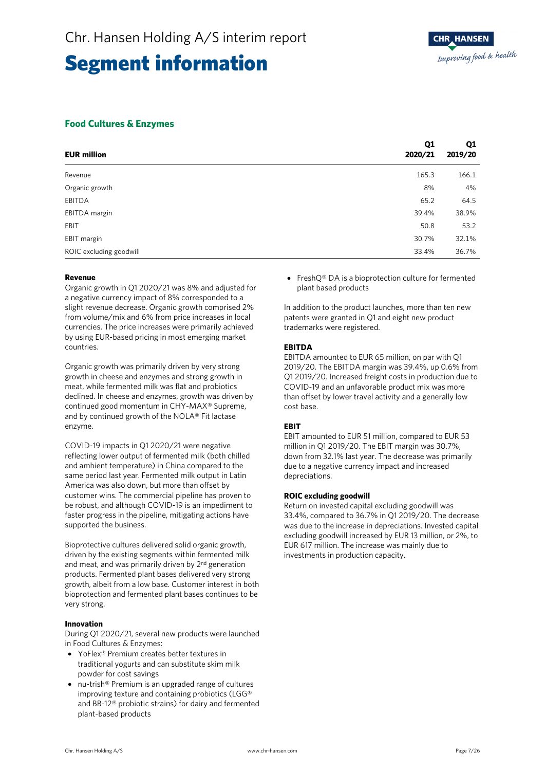### **Food Cultures & Enzymes**

| <b>EUR million</b>      | Q1<br>2020/21 | Q <sub>1</sub><br>2019/20 |
|-------------------------|---------------|---------------------------|
| Revenue                 | 165.3         | 166.1                     |
| Organic growth          | 8%            | 4%                        |
| EBITDA                  | 65.2          | 64.5                      |
| EBITDA margin           | 39.4%         | 38.9%                     |
| EBIT                    | 50.8          | 53.2                      |
| EBIT margin             | 30.7%         | 32.1%                     |
| ROIC excluding goodwill | 33.4%         | 36.7%                     |

### **Revenue**

Organic growth in Q1 2020/21 was 8% and adjusted for a negative currency impact of 8% corresponded to a slight revenue decrease. Organic growth comprised 2% from volume/mix and 6% from price increases in local currencies. The price increases were primarily achieved by using EUR-based pricing in most emerging market countries.

Organic growth was primarily driven by very strong growth in cheese and enzymes and strong growth in meat, while fermented milk was flat and probiotics declined. In cheese and enzymes, growth was driven by continued good momentum in CHY-MAX® Supreme, and by continued growth of the NOLA® Fit lactase enzyme.

COVID-19 impacts in Q1 2020/21 were negative reflecting lower output of fermented milk (both chilled and ambient temperature) in China compared to the same period last year. Fermented milk output in Latin America was also down, but more than offset by customer wins. The commercial pipeline has proven to be robust, and although COVID-19 is an impediment to faster progress in the pipeline, mitigating actions have supported the business.

Bioprotective cultures delivered solid organic growth, driven by the existing segments within fermented milk and meat, and was primarily driven by  $2<sup>nd</sup>$  generation products. Fermented plant bases delivered very strong growth, albeit from a low base. Customer interest in both bioprotection and fermented plant bases continues to be very strong.

### **Innovation**

During Q1 2020/21, several new products were launched in Food Cultures & Enzymes:

- YoFlex<sup>®</sup> Premium creates better textures in traditional yogurts and can substitute skim milk powder for cost savings
- nu-trish® Premium is an upgraded range of cultures improving texture and containing probiotics (LGG® and BB-12® probiotic strains) for dairy and fermented plant-based products

• FreshO® DA is a bioprotection culture for fermented plant based products

In addition to the product launches, more than ten new patents were granted in Q1 and eight new product trademarks were registered.

### **EBITDA**

EBITDA amounted to EUR 65 million, on par with Q1 2019/20. The EBITDA margin was 39.4%, up 0.6% from Q1 2019/20. Increased freight costs in production due to COVID-19 and an unfavorable product mix was more than offset by lower travel activity and a generally low cost base.

### **EBIT**

EBIT amounted to EUR 51 million, compared to EUR 53 million in Q1 2019/20. The EBIT margin was 30.7%, down from 32.1% last year. The decrease was primarily due to a negative currency impact and increased depreciations.

### **ROIC excluding goodwill**

Return on invested capital excluding goodwill was 33.4%, compared to 36.7% in Q1 2019/20. The decrease was due to the increase in depreciations. Invested capital excluding goodwill increased by EUR 13 million, or 2%, to EUR 617 million. The increase was mainly due to investments in production capacity.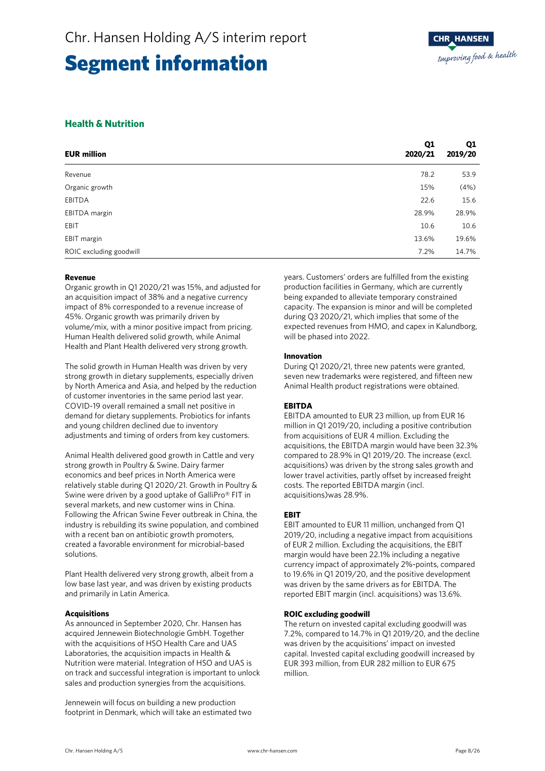### **Health & Nutrition**

| <b>EUR million</b>      | Q1<br>2020/21 | Q1<br>2019/20 |
|-------------------------|---------------|---------------|
| Revenue                 | 78.2          | 53.9          |
| Organic growth          | 15%           | (4%)          |
| EBITDA                  | 22.6          | 15.6          |
| EBITDA margin           | 28.9%         | 28.9%         |
| EBIT                    | 10.6          | 10.6          |
| EBIT margin             | 13.6%         | 19.6%         |
| ROIC excluding goodwill | 7.2%          | 14.7%         |

### **Revenue**

Organic growth in Q1 2020/21 was 15%, and adjusted for an acquisition impact of 38% and a negative currency impact of 8% corresponded to a revenue increase of 45%. Organic growth was primarily driven by volume/mix, with a minor positive impact from pricing. Human Health delivered solid growth, while Animal Health and Plant Health delivered very strong growth.

The solid growth in Human Health was driven by very strong growth in dietary supplements, especially driven by North America and Asia, and helped by the reduction of customer inventories in the same period last year. COVID-19 overall remained a small net positive in demand for dietary supplements. Probiotics for infants and young children declined due to inventory adjustments and timing of orders from key customers.

Animal Health delivered good growth in Cattle and very strong growth in Poultry & Swine. Dairy farmer economics and beef prices in North America were relatively stable during Q1 2020/21. Growth in Poultry & Swine were driven by a good uptake of GalliPro® FIT in several markets, and new customer wins in China. Following the African Swine Fever outbreak in China, the industry is rebuilding its swine population, and combined with a recent ban on antibiotic growth promoters, created a favorable environment for microbial-based solutions.

Plant Health delivered very strong growth, albeit from a low base last year, and was driven by existing products and primarily in Latin America.

### **Acquisitions**

As announced in September 2020, Chr. Hansen has acquired Jennewein Biotechnologie GmbH. Together with the acquisitions of HSO Health Care and UAS Laboratories, the acquisition impacts in Health & Nutrition were material. Integration of HSO and UAS is on track and successful integration is important to unlock sales and production synergies from the acquisitions.

Jennewein will focus on building a new production footprint in Denmark, which will take an estimated two years. Customers' orders are fulfilled from the existing production facilities in Germany, which are currently being expanded to alleviate temporary constrained capacity. The expansion is minor and will be completed during Q3 2020/21, which implies that some of the expected revenues from HMO, and capex in Kalundborg, will be phased into 2022.

### **Innovation**

During Q1 2020/21, three new patents were granted, seven new trademarks were registered, and fifteen new Animal Health product registrations were obtained.

### **EBITDA**

EBITDA amounted to EUR 23 million, up from EUR 16 million in Q1 2019/20, including a positive contribution from acquisitions of EUR 4 million. Excluding the acquisitions, the EBITDA margin would have been 32.3% compared to 28.9% in Q1 2019/20. The increase (excl. acquisitions) was driven by the strong sales growth and lower travel activities, partly offset by increased freight costs. The reported EBITDA margin (incl. acquisitions)was 28.9%.

### **EBIT**

EBIT amounted to EUR 11 million, unchanged from Q1 2019/20, including a negative impact from acquisitions of EUR 2 million. Excluding the acquisitions, the EBIT margin would have been 22.1% including a negative currency impact of approximately 2%-points, compared to 19.6% in Q1 2019/20, and the positive development was driven by the same drivers as for EBITDA. The reported EBIT margin (incl. acquisitions) was 13.6%.

### **ROIC excluding goodwill**

The return on invested capital excluding goodwill was 7.2%, compared to 14.7% in Q1 2019/20, and the decline was driven by the acquisitions' impact on invested capital. Invested capital excluding goodwill increased by EUR 393 million, from EUR 282 million to EUR 675 million.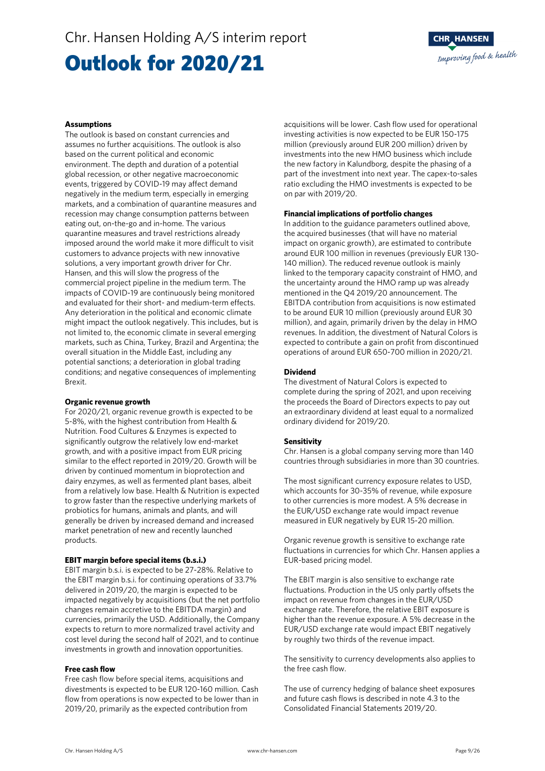### Outlook for 2020/21



#### **Assumptions**

The outlook is based on constant currencies and assumes no further acquisitions. The outlook is also based on the current political and economic environment. The depth and duration of a potential global recession, or other negative macroeconomic events, triggered by COVID-19 may affect demand negatively in the medium term, especially in emerging markets, and a combination of quarantine measures and recession may change consumption patterns between eating out, on-the-go and in-home. The various quarantine measures and travel restrictions already imposed around the world make it more difficult to visit customers to advance projects with new innovative solutions, a very important growth driver for Chr. Hansen, and this will slow the progress of the commercial project pipeline in the medium term. The impacts of COVID-19 are continuously being monitored and evaluated for their short- and medium-term effects. Any deterioration in the political and economic climate might impact the outlook negatively. This includes, but is not limited to, the economic climate in several emerging markets, such as China, Turkey, Brazil and Argentina; the overall situation in the Middle East, including any potential sanctions; a deterioration in global trading conditions; and negative consequences of implementing Brexit.

#### **Organic revenue growth**

For 2020/21, organic revenue growth is expected to be 5-8%, with the highest contribution from Health & Nutrition. Food Cultures & Enzymes is expected to significantly outgrow the relatively low end-market growth, and with a positive impact from EUR pricing similar to the effect reported in 2019/20. Growth will be driven by continued momentum in bioprotection and dairy enzymes, as well as fermented plant bases, albeit from a relatively low base. Health & Nutrition is expected to grow faster than the respective underlying markets of probiotics for humans, animals and plants, and will generally be driven by increased demand and increased market penetration of new and recently launched products.

### **EBIT margin before special items (b.s.i.)**

EBIT margin b.s.i. is expected to be 27-28%. Relative to the EBIT margin b.s.i. for continuing operations of 33.7% delivered in 2019/20, the margin is expected to be impacted negatively by acquisitions (but the net portfolio changes remain accretive to the EBITDA margin) and currencies, primarily the USD. Additionally, the Company expects to return to more normalized travel activity and cost level during the second half of 2021, and to continue investments in growth and innovation opportunities.

### **Free cash flow**

Free cash flow before special items, acquisitions and divestments is expected to be EUR 120-160 million. Cash flow from operations is now expected to be lower than in 2019/20, primarily as the expected contribution from

acquisitions will be lower. Cash flow used for operational investing activities is now expected to be EUR 150-175 million (previously around EUR 200 million) driven by investments into the new HMO business which include the new factory in Kalundborg, despite the phasing of a part of the investment into next year. The capex-to-sales ratio excluding the HMO investments is expected to be on par with 2019/20.

### **Financial implications of portfolio changes**

In addition to the guidance parameters outlined above, the acquired businesses (that will have no material impact on organic growth), are estimated to contribute around EUR 100 million in revenues (previously EUR 130- 140 million). The reduced revenue outlook is mainly linked to the temporary capacity constraint of HMO, and the uncertainty around the HMO ramp up was already mentioned in the Q4 2019/20 announcement. The EBITDA contribution from acquisitions is now estimated to be around EUR 10 million (previously around EUR 30 million), and again, primarily driven by the delay in HMO revenues. In addition, the divestment of Natural Colors is expected to contribute a gain on profit from discontinued operations of around EUR 650-700 million in 2020/21.

#### **Dividend**

The divestment of Natural Colors is expected to complete during the spring of 2021, and upon receiving the proceeds the Board of Directors expects to pay out an extraordinary dividend at least equal to a normalized ordinary dividend for 2019/20.

### **Sensitivity**

Chr. Hansen is a global company serving more than 140 countries through subsidiaries in more than 30 countries.

The most significant currency exposure relates to USD, which accounts for 30-35% of revenue, while exposure to other currencies is more modest. A 5% decrease in the EUR/USD exchange rate would impact revenue measured in EUR negatively by EUR 15-20 million.

Organic revenue growth is sensitive to exchange rate fluctuations in currencies for which Chr. Hansen applies a EUR-based pricing model.

The EBIT margin is also sensitive to exchange rate fluctuations. Production in the US only partly offsets the impact on revenue from changes in the EUR/USD exchange rate. Therefore, the relative EBIT exposure is higher than the revenue exposure. A 5% decrease in the EUR/USD exchange rate would impact EBIT negatively by roughly two thirds of the revenue impact.

The sensitivity to currency developments also applies to the free cash flow.

The use of currency hedging of balance sheet exposures and future cash flows is described in note 4.3 to the Consolidated Financial Statements 2019/20.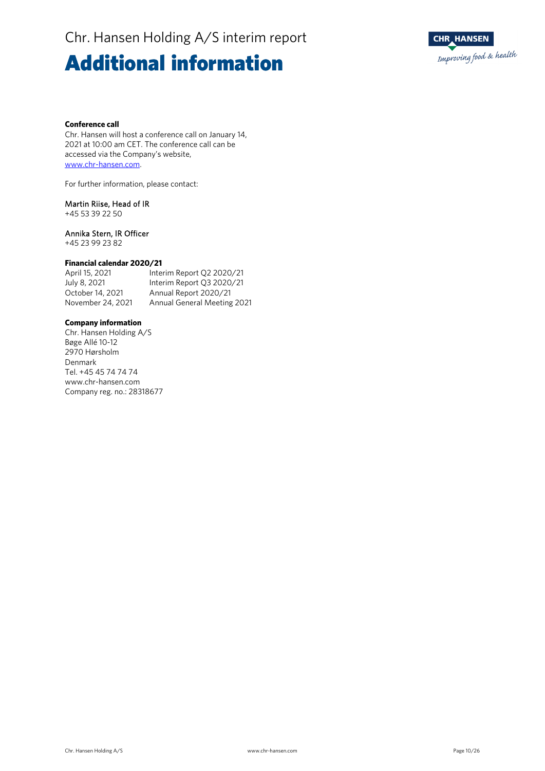### Additional information



### **Conference call**

Chr. Hansen will host a conference call on January 14, 2021 at 10:00 am CET. The conference call can be accessed via the Company's website, www.chr-hansen.com.

For further information, please contact:

### Martin Riise, Head of IR

+45 53 39 22 50

### Annika Stern, IR Officer

+45 23 99 23 82

### **Financial calendar 2020/21**

Interim Report Q2 2020/21 July 8, 2021 Interim Report Q3 2020/21 October 14, 2021 Annual Report 2020/21<br>November 24, 2021 Annual General Meeting Annual General Meeting 2021

### **Company information**

Chr. Hansen Holding A/S Bøge Allé 10-12 2970 Hørsholm Denmark Tel. +45 45 74 74 74 www.chr-hansen.com Company reg. no.: 28318677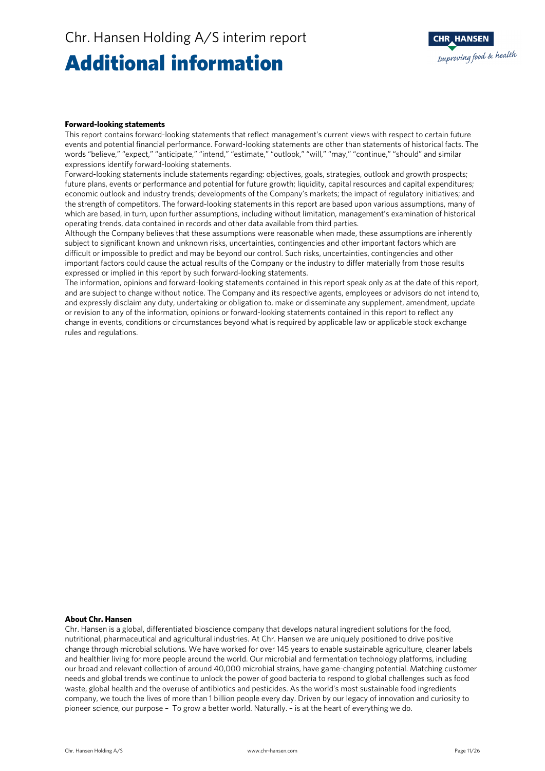### Additional information



#### **Forward-looking statements**

This report contains forward-looking statements that reflect management's current views with respect to certain future events and potential financial performance. Forward-looking statements are other than statements of historical facts. The words "believe," "expect," "anticipate," "intend," "estimate," "outlook," "will," "may," "continue," "should" and similar expressions identify forward-looking statements.

Forward-looking statements include statements regarding: objectives, goals, strategies, outlook and growth prospects; future plans, events or performance and potential for future growth; liquidity, capital resources and capital expenditures; economic outlook and industry trends; developments of the Company's markets; the impact of regulatory initiatives; and the strength of competitors. The forward-looking statements in this report are based upon various assumptions, many of which are based, in turn, upon further assumptions, including without limitation, management's examination of historical operating trends, data contained in records and other data available from third parties.

Although the Company believes that these assumptions were reasonable when made, these assumptions are inherently subject to significant known and unknown risks, uncertainties, contingencies and other important factors which are difficult or impossible to predict and may be beyond our control. Such risks, uncertainties, contingencies and other important factors could cause the actual results of the Company or the industry to differ materially from those results expressed or implied in this report by such forward-looking statements.

The information, opinions and forward-looking statements contained in this report speak only as at the date of this report, and are subject to change without notice. The Company and its respective agents, employees or advisors do not intend to, and expressly disclaim any duty, undertaking or obligation to, make or disseminate any supplement, amendment, update or revision to any of the information, opinions or forward-looking statements contained in this report to reflect any change in events, conditions or circumstances beyond what is required by applicable law or applicable stock exchange rules and regulations.

### **About Chr. Hansen**

Chr. Hansen is a global, differentiated bioscience company that develops natural ingredient solutions for the food, nutritional, pharmaceutical and agricultural industries. At Chr. Hansen we are uniquely positioned to drive positive change through microbial solutions. We have worked for over 145 years to enable sustainable agriculture, cleaner labels and healthier living for more people around the world. Our microbial and fermentation technology platforms, including our broad and relevant collection of around 40,000 microbial strains, have game-changing potential. Matching customer needs and global trends we continue to unlock the power of good bacteria to respond to global challenges such as food waste, global health and the overuse of antibiotics and pesticides. As the world's most sustainable food ingredients company, we touch the lives of more than 1 billion people every day. Driven by our legacy of innovation and curiosity to pioneer science, our purpose – To grow a better world. Naturally. – is at the heart of everything we do.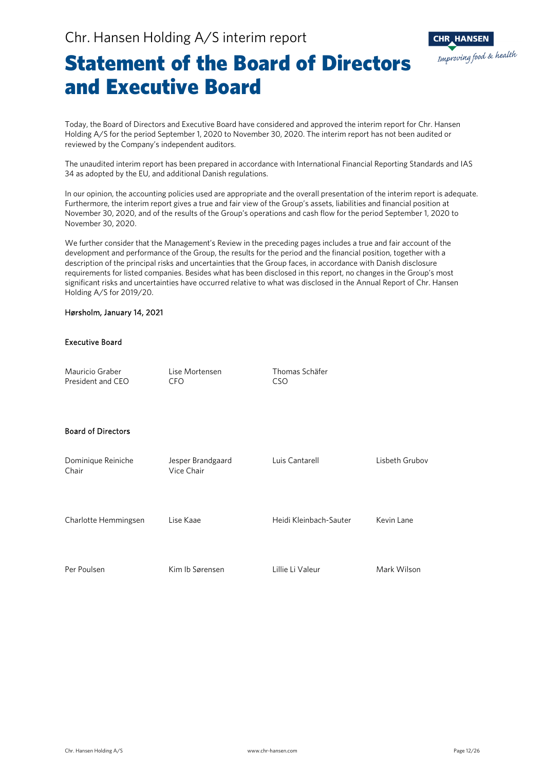

### Statement of the Board of Directors and Executive Board

Today, the Board of Directors and Executive Board have considered and approved the interim report for Chr. Hansen Holding A/S for the period September 1, 2020 to November 30, 2020. The interim report has not been audited or reviewed by the Company's independent auditors.

The unaudited interim report has been prepared in accordance with International Financial Reporting Standards and IAS 34 as adopted by the EU, and additional Danish regulations.

In our opinion, the accounting policies used are appropriate and the overall presentation of the interim report is adequate. Furthermore, the interim report gives a true and fair view of the Group's assets, liabilities and financial position at November 30, 2020, and of the results of the Group's operations and cash flow for the period September 1, 2020 to November 30, 2020.

We further consider that the Management's Review in the preceding pages includes a true and fair account of the development and performance of the Group, the results for the period and the financial position, together with a description of the principal risks and uncertainties that the Group faces, in accordance with Danish disclosure requirements for listed companies. Besides what has been disclosed in this report, no changes in the Group's most significant risks and uncertainties have occurred relative to what was disclosed in the Annual Report of Chr. Hansen Holding A/S for 2019/20.

### Hørsholm, January 14, 2021

### Executive Board

| Mauricio Graber<br>President and CEO | Lise Mortensen<br>CFO.          | Thomas Schäfer<br>CSO  |                |
|--------------------------------------|---------------------------------|------------------------|----------------|
| <b>Board of Directors</b>            |                                 |                        |                |
| Dominique Reiniche<br>Chair          | Jesper Brandgaard<br>Vice Chair | Luis Cantarell         | Lisbeth Grubov |
| Charlotte Hemmingsen                 | Lise Kaae                       | Heidi Kleinbach-Sauter | Kevin Lane     |
| Per Poulsen                          | Kim Ib Sørensen                 | Lillie Li Valeur       | Mark Wilson    |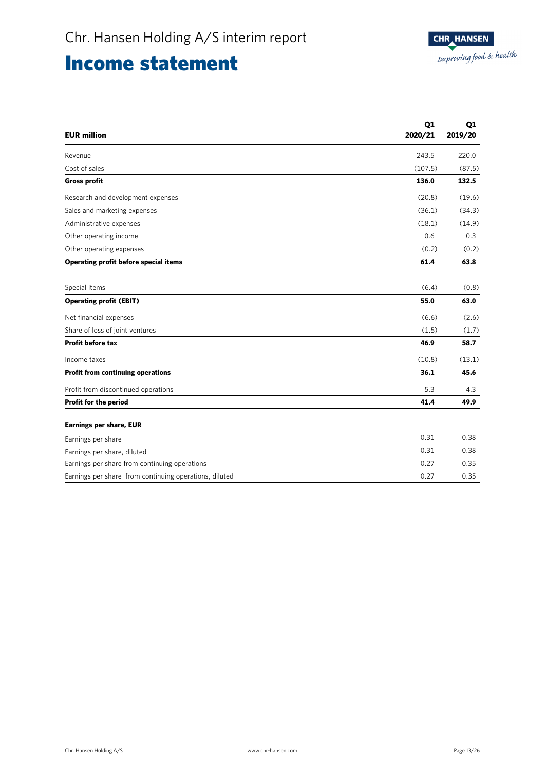### Income statement

| <b>EUR million</b>                                     | Q1<br>2020/21 | Q1<br>2019/20 |
|--------------------------------------------------------|---------------|---------------|
| Revenue                                                | 243.5         | 220.0         |
| Cost of sales                                          | (107.5)       | (87.5)        |
| <b>Gross profit</b>                                    | 136.0         | 132.5         |
| Research and development expenses                      | (20.8)        | (19.6)        |
| Sales and marketing expenses                           | (36.1)        | (34.3)        |
| Administrative expenses                                | (18.1)        | (14.9)        |
| Other operating income                                 | 0.6           | 0.3           |
| Other operating expenses                               | (0.2)         | (0.2)         |
| Operating profit before special items                  | 61.4          | 63.8          |
| Special items                                          | (6.4)         | (0.8)         |
| <b>Operating profit (EBIT)</b>                         | 55.0          | 63.0          |
| Net financial expenses                                 | (6.6)         | (2.6)         |
| Share of loss of joint ventures                        | (1.5)         | (1.7)         |
| <b>Profit before tax</b>                               | 46.9          | 58.7          |
| Income taxes                                           | (10.8)        | (13.1)        |
| <b>Profit from continuing operations</b>               | 36.1          | 45.6          |
| Profit from discontinued operations                    | 5.3           | 4.3           |
| Profit for the period                                  | 41.4          | 49.9          |
| <b>Earnings per share, EUR</b>                         |               |               |
| Earnings per share                                     | 0.31          | 0.38          |
| Earnings per share, diluted                            | 0.31          | 0.38          |
| Earnings per share from continuing operations          | 0.27          | 0.35          |
| Earnings per share from continuing operations, diluted | 0.27          | 0.35          |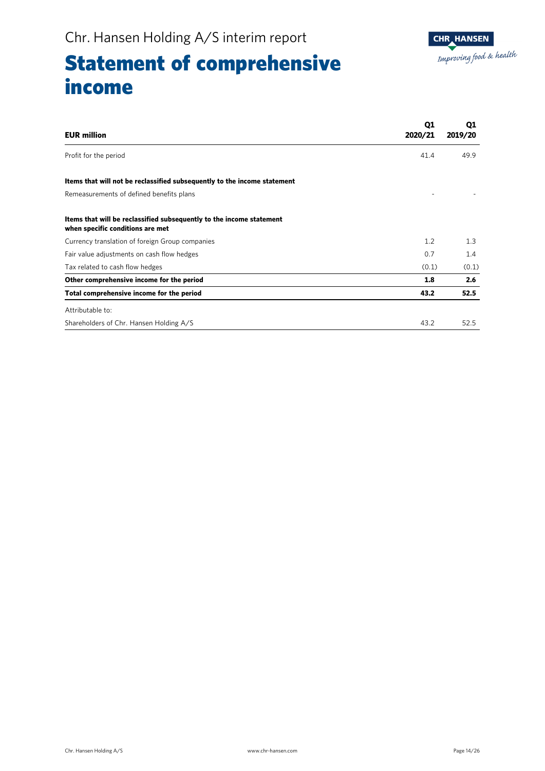## Statement of comprehensive income

| <b>EUR million</b>                                                                                       | Q1<br>2020/21 | Q1<br>2019/20 |
|----------------------------------------------------------------------------------------------------------|---------------|---------------|
| Profit for the period                                                                                    | 41.4          | 49.9          |
| Items that will not be reclassified subsequently to the income statement                                 |               |               |
| Remeasurements of defined benefits plans                                                                 |               |               |
| Items that will be reclassified subsequently to the income statement<br>when specific conditions are met |               |               |
| Currency translation of foreign Group companies                                                          | 1.2           | 1.3           |
| Fair value adjustments on cash flow hedges                                                               | 0.7           | 1.4           |
| Tax related to cash flow hedges                                                                          | (0.1)         | (0.1)         |
| Other comprehensive income for the period                                                                | 1.8           | 2.6           |
| Total comprehensive income for the period                                                                | 43.2          | 52.5          |
| Attributable to:                                                                                         |               |               |
| Shareholders of Chr. Hansen Holding A/S                                                                  | 43.2          | 52.5          |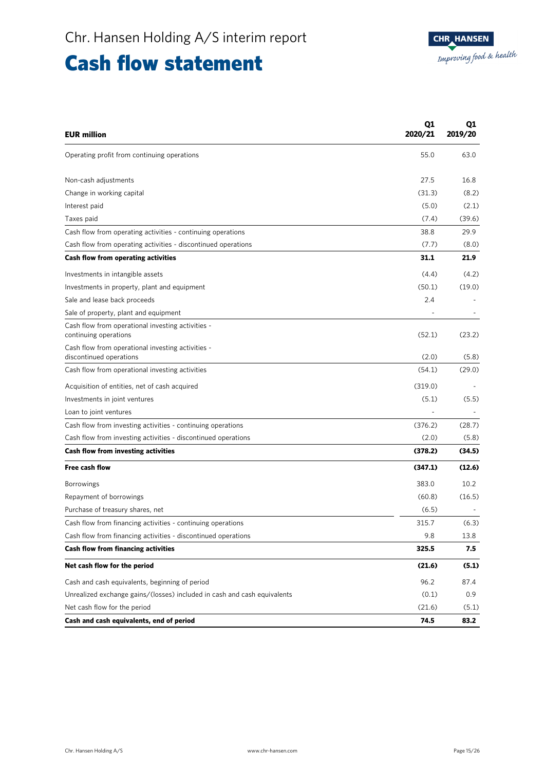### Cash flow statement

| <b>EUR million</b>                                                           | Q1<br>2020/21 | Q1<br>2019/20 |
|------------------------------------------------------------------------------|---------------|---------------|
| Operating profit from continuing operations                                  | 55.0          | 63.0          |
| Non-cash adjustments                                                         | 27.5          | 16.8          |
| Change in working capital                                                    | (31.3)        | (8.2)         |
| Interest paid                                                                | (5.0)         | (2.1)         |
| Taxes paid                                                                   | (7.4)         | (39.6)        |
| Cash flow from operating activities - continuing operations                  | 38.8          | 29.9          |
| Cash flow from operating activities - discontinued operations                | (7.7)         | (8.0)         |
| Cash flow from operating activities                                          | 31.1          | 21.9          |
| Investments in intangible assets                                             | (4.4)         | (4.2)         |
| Investments in property, plant and equipment                                 | (50.1)        | (19.0)        |
| Sale and lease back proceeds                                                 | 2.4           |               |
| Sale of property, plant and equipment                                        |               |               |
| Cash flow from operational investing activities -<br>continuing operations   | (52.1)        | (23.2)        |
| Cash flow from operational investing activities -<br>discontinued operations | (2.0)         | (5.8)         |
| Cash flow from operational investing activities                              | (54.1)        | (29.0)        |
| Acquisition of entities, net of cash acquired                                | (319.0)       |               |
| Investments in joint ventures                                                | (5.1)         | (5.5)         |
| Loan to joint ventures                                                       |               |               |
| Cash flow from investing activities - continuing operations                  | (376.2)       | (28.7)        |
| Cash flow from investing activities - discontinued operations                | (2.0)         | (5.8)         |
| Cash flow from investing activities                                          | (378.2)       | (34.5)        |
| <b>Free cash flow</b>                                                        | (347.1)       | (12.6)        |
| <b>Borrowings</b>                                                            | 383.0         | 10.2          |
| Repayment of borrowings                                                      | (60.8)        | (16.5)        |
| Purchase of treasury shares, net                                             | (6.5)         |               |
| Cash flow from financing activities - continuing operations                  | 315.7         | (6.3)         |
| Cash flow from financing activities - discontinued operations                | 9.8           | 13.8          |
| Cash flow from financing activities                                          | 325.5         | 7.5           |
| Net cash flow for the period                                                 | (21.6)        | (5.1)         |
| Cash and cash equivalents, beginning of period                               | 96.2          | 87.4          |
| Unrealized exchange gains/(losses) included in cash and cash equivalents     | (0.1)         | 0.9           |
| Net cash flow for the period                                                 | (21.6)        | (5.1)         |
| Cash and cash equivalents, end of period                                     | 74.5          | 83.2          |

Ī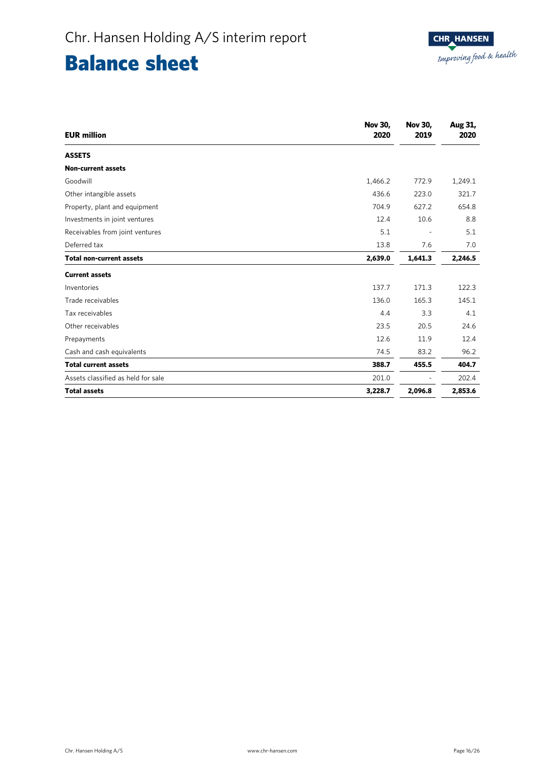## Balance sheet

| <b>EUR million</b>                 | <b>Nov 30,</b><br>2020 | <b>Nov 30,</b><br>2019   | Aug 31,<br>2020 |
|------------------------------------|------------------------|--------------------------|-----------------|
| <b>ASSETS</b>                      |                        |                          |                 |
| <b>Non-current assets</b>          |                        |                          |                 |
| Goodwill                           | 1,466.2                | 772.9                    | 1,249.1         |
| Other intangible assets            | 436.6                  | 223.0                    | 321.7           |
| Property, plant and equipment      | 704.9                  | 627.2                    | 654.8           |
| Investments in joint ventures      | 12.4                   | 10.6                     | 8.8             |
| Receivables from joint ventures    | 5.1                    | $\overline{\phantom{a}}$ | 5.1             |
| Deferred tax                       | 13.8                   | 7.6                      | 7.0             |
| <b>Total non-current assets</b>    | 2,639.0                | 1,641.3                  | 2,246.5         |
| <b>Current assets</b>              |                        |                          |                 |
| Inventories                        | 137.7                  | 171.3                    | 122.3           |
| Trade receivables                  | 136.0                  | 165.3                    | 145.1           |
| Tax receivables                    | 4.4                    | 3.3                      | 4.1             |
| Other receivables                  | 23.5                   | 20.5                     | 24.6            |
| Prepayments                        | 12.6                   | 11.9                     | 12.4            |
| Cash and cash equivalents          | 74.5                   | 83.2                     | 96.2            |
| <b>Total current assets</b>        | 388.7                  | 455.5                    | 404.7           |
| Assets classified as held for sale | 201.0                  |                          | 202.4           |
| <b>Total assets</b>                | 3,228.7                | 2,096.8                  | 2,853.6         |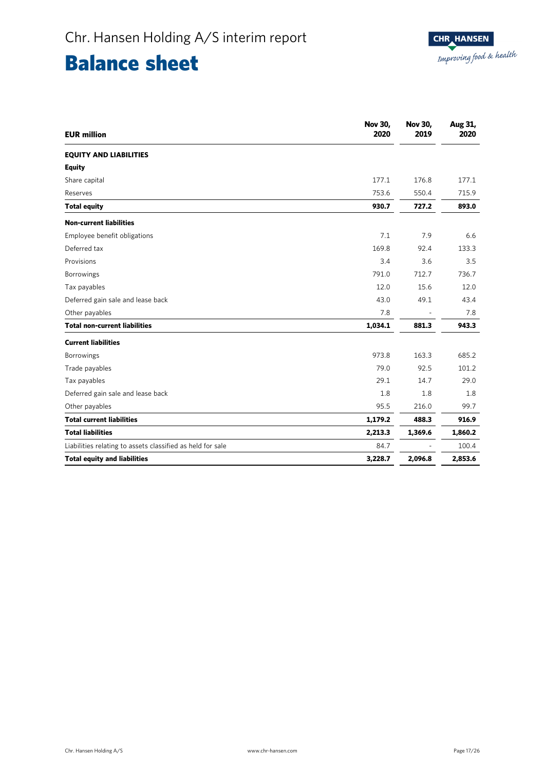## Balance sheet

| <b>EUR million</b>                                         | <b>Nov 30,</b><br>2020 | <b>Nov 30,</b><br>2019 | Aug 31,<br>2020 |
|------------------------------------------------------------|------------------------|------------------------|-----------------|
| <b>EQUITY AND LIABILITIES</b>                              |                        |                        |                 |
| <b>Equity</b>                                              |                        |                        |                 |
| Share capital                                              | 177.1                  | 176.8                  | 177.1           |
| Reserves                                                   | 753.6                  | 550.4                  | 715.9           |
| <b>Total equity</b>                                        | 930.7                  | 727.2                  | 893.0           |
| <b>Non-current liabilities</b>                             |                        |                        |                 |
| Employee benefit obligations                               | 7.1                    | 7.9                    | 6.6             |
| Deferred tax                                               | 169.8                  | 92.4                   | 133.3           |
| Provisions                                                 | 3.4                    | 3.6                    | 3.5             |
| Borrowings                                                 | 791.0                  | 712.7                  | 736.7           |
| Tax payables                                               | 12.0                   | 15.6                   | 12.0            |
| Deferred gain sale and lease back                          | 43.0                   | 49.1                   | 43.4            |
| Other payables                                             | 7.8                    |                        | 7.8             |
| <b>Total non-current liabilities</b>                       | 1,034.1                | 881.3                  | 943.3           |
| <b>Current liabilities</b>                                 |                        |                        |                 |
| Borrowings                                                 | 973.8                  | 163.3                  | 685.2           |
| Trade payables                                             | 79.0                   | 92.5                   | 101.2           |
| Tax payables                                               | 29.1                   | 14.7                   | 29.0            |
| Deferred gain sale and lease back                          | 1.8                    | 1.8                    | 1.8             |
| Other payables                                             | 95.5                   | 216.0                  | 99.7            |
| <b>Total current liabilities</b>                           | 1,179.2                | 488.3                  | 916.9           |
| <b>Total liabilities</b>                                   | 2,213.3                | 1,369.6                | 1,860.2         |
| Liabilities relating to assets classified as held for sale | 84.7                   |                        | 100.4           |
| <b>Total equity and liabilities</b>                        | 3,228.7                | 2,096.8                | 2,853.6         |

Ī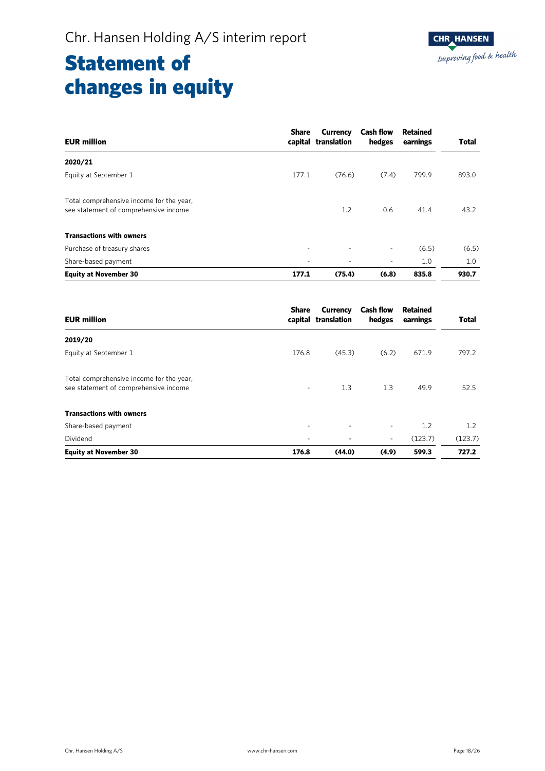| <b>EUR million</b>                                                                | <b>Share</b> | Currency<br>capital translation | <b>Cash flow</b><br>hedges | <b>Retained</b><br>earnings | <b>Total</b> |
|-----------------------------------------------------------------------------------|--------------|---------------------------------|----------------------------|-----------------------------|--------------|
| 2020/21                                                                           |              |                                 |                            |                             |              |
| Equity at September 1                                                             | 177.1        | (76.6)                          | (7.4)                      | 799.9                       | 893.0        |
| Total comprehensive income for the year,<br>see statement of comprehensive income |              | 1.2                             | 0.6                        | 41.4                        | 43.2         |
| <b>Transactions with owners</b>                                                   |              |                                 |                            |                             |              |
| Purchase of treasury shares                                                       | ۰            | ٠                               | ٠                          | (6.5)                       | (6.5)        |
| Share-based payment                                                               |              | ٠                               | ٠                          | 1.0                         | 1.0          |
| <b>Equity at November 30</b>                                                      | 177.1        | (75.4)                          | (6.8)                      | 835.8                       | 930.7        |

| <b>EUR million</b>                                                                | Share | Currency<br>capital translation | <b>Cash flow</b><br>hedges | Retained<br>earnings | <b>Total</b> |
|-----------------------------------------------------------------------------------|-------|---------------------------------|----------------------------|----------------------|--------------|
| 2019/20                                                                           |       |                                 |                            |                      |              |
| Equity at September 1                                                             | 176.8 | (45.3)                          | (6.2)                      | 671.9                | 797.2        |
| Total comprehensive income for the year,<br>see statement of comprehensive income | ۰     | 1.3                             | 1.3                        | 49.9                 | 52.5         |
| <b>Transactions with owners</b>                                                   |       |                                 |                            |                      |              |
| Share-based payment                                                               |       | ٠                               | $\overline{\phantom{a}}$   | 1.2                  | 1.2          |
| Dividend                                                                          |       |                                 | $\overline{\phantom{a}}$   | (123.7)              | (123.7)      |
| <b>Equity at November 30</b>                                                      | 176.8 | (44.0)                          | (4.9)                      | 599.3                | 727.2        |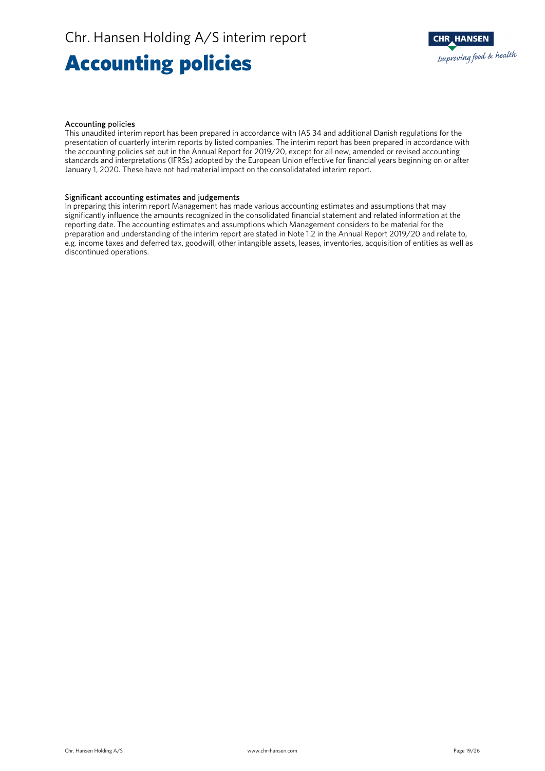## Accounting policies



### Accounting policies

This unaudited interim report has been prepared in accordance with IAS 34 and additional Danish regulations for the presentation of quarterly interim reports by listed companies. The interim report has been prepared in accordance with the accounting policies set out in the Annual Report for 2019/20, except for all new, amended or revised accounting standards and interpretations (IFRSs) adopted by the European Union effective for financial years beginning on or after January 1, 2020. These have not had material impact on the consolidatated interim report.

### Significant accounting estimates and judgements

In preparing this interim report Management has made various accounting estimates and assumptions that may significantly influence the amounts recognized in the consolidated financial statement and related information at the reporting date. The accounting estimates and assumptions which Management considers to be material for the preparation and understanding of the interim report are stated in Note 1.2 in the Annual Report 2019/20 and relate to, e.g. income taxes and deferred tax, goodwill, other intangible assets, leases, inventories, acquisition of entities as well as discontinued operations.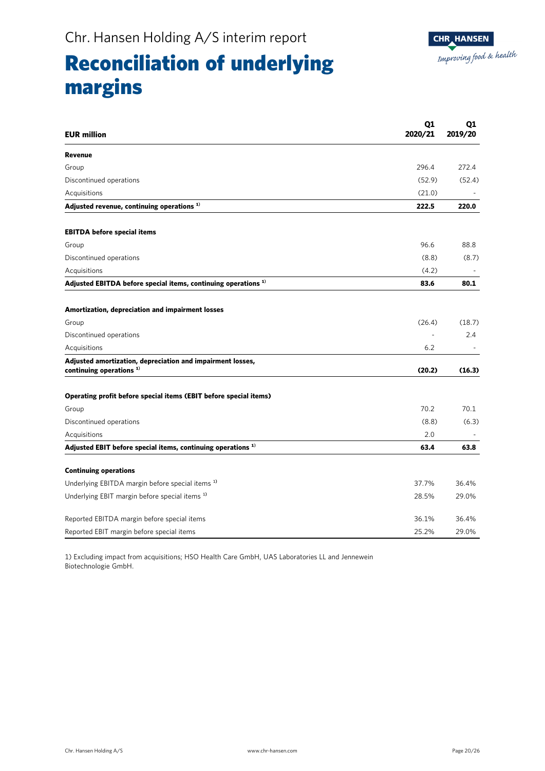## Reconciliation of underlying margins

| <b>EUR million</b>                                                                       | Q1<br>2020/21 | Q1<br>2019/20            |
|------------------------------------------------------------------------------------------|---------------|--------------------------|
| <b>Revenue</b>                                                                           |               |                          |
| Group                                                                                    | 296.4         | 272.4                    |
| Discontinued operations                                                                  | (52.9)        | (52.4)                   |
| Acquisitions                                                                             | (21.0)        |                          |
| Adjusted revenue, continuing operations <sup>1)</sup>                                    | 222.5         | 220.0                    |
| <b>EBITDA</b> before special items                                                       |               |                          |
| Group                                                                                    | 96.6          | 88.8                     |
| Discontinued operations                                                                  | (8.8)         | (8.7)                    |
| Acquisitions                                                                             | (4.2)         |                          |
| Adjusted EBITDA before special items, continuing operations <sup>1)</sup>                | 83.6          | 80.1                     |
| Amortization, depreciation and impairment losses                                         |               |                          |
| Group                                                                                    | (26.4)        | (18.7)                   |
| Discontinued operations                                                                  |               | 2.4                      |
| Acquisitions                                                                             | 6.2           | $\overline{\phantom{a}}$ |
| Adjusted amortization, depreciation and impairment losses,<br>continuing operations $1)$ | (20.2)        | (16.3)                   |
| Operating profit before special items (EBIT before special items)                        |               |                          |
| Group                                                                                    | 70.2          | 70.1                     |
| Discontinued operations                                                                  | (8.8)         | (6.3)                    |
| Acquisitions                                                                             | 2.0           |                          |
| Adjusted EBIT before special items, continuing operations <sup>1)</sup>                  | 63.4          | 63.8                     |
| <b>Continuing operations</b>                                                             |               |                          |
| Underlying EBITDA margin before special items <sup>1)</sup>                              | 37.7%         | 36.4%                    |
| Underlying EBIT margin before special items <sup>1)</sup>                                | 28.5%         | 29.0%                    |
| Reported EBITDA margin before special items                                              | 36.1%         | 36.4%                    |
| Reported EBIT margin before special items                                                | 25.2%         | 29.0%                    |

1) Excluding impact from acquisitions; HSO Health Care GmbH, UAS Laboratories LL and Jennewein Biotechnologie GmbH.

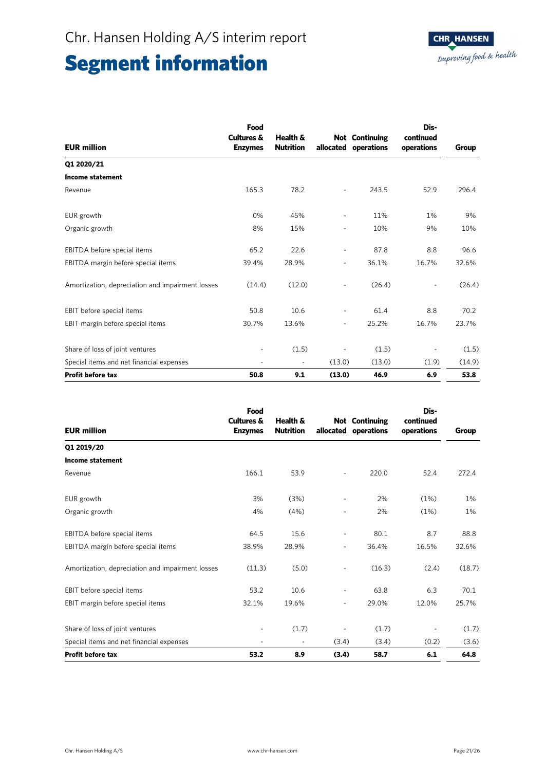| <b>EUR million</b>                               | Food<br><b>Cultures &amp;</b><br><b>Enzymes</b> | Health &<br><b>Nutrition</b> |                          | <b>Not</b> Continuing<br>allocated operations | Dis-<br>continued<br>operations | Group  |
|--------------------------------------------------|-------------------------------------------------|------------------------------|--------------------------|-----------------------------------------------|---------------------------------|--------|
| Q1 2020/21                                       |                                                 |                              |                          |                                               |                                 |        |
| <b>Income statement</b>                          |                                                 |                              |                          |                                               |                                 |        |
| Revenue                                          | 165.3                                           | 78.2                         | $\overline{a}$           | 243.5                                         | 52.9                            | 296.4  |
| EUR growth                                       | 0%                                              | 45%                          | $\overline{\phantom{0}}$ | 11%                                           | 1%                              | 9%     |
| Organic growth                                   | 8%                                              | 15%                          | ٠                        | 10%                                           | 9%                              | 10%    |
| EBITDA before special items                      | 65.2                                            | 22.6                         | ۰                        | 87.8                                          | 8.8                             | 96.6   |
| EBITDA margin before special items               | 39.4%                                           | 28.9%                        | -                        | 36.1%                                         | 16.7%                           | 32.6%  |
| Amortization, depreciation and impairment losses | (14.4)                                          | (12.0)                       |                          | (26.4)                                        | $\overline{a}$                  | (26.4) |
| EBIT before special items                        | 50.8                                            | 10.6                         | -                        | 61.4                                          | 8.8                             | 70.2   |
| EBIT margin before special items                 | 30.7%                                           | 13.6%                        | $\overline{\phantom{0}}$ | 25.2%                                         | 16.7%                           | 23.7%  |
| Share of loss of joint ventures                  | ٠                                               | (1.5)                        |                          | (1.5)                                         | $\overline{\phantom{a}}$        | (1.5)  |
| Special items and net financial expenses         | $\overline{a}$                                  | ٠                            | (13.0)                   | (13.0)                                        | (1.9)                           | (14.9) |
| <b>Profit before tax</b>                         | 50.8                                            | 9.1                          | (13.0)                   | 46.9                                          | 6.9                             | 53.8   |

| <b>EUR million</b>                               | Food<br><b>Cultures &amp;</b><br><b>Enzymes</b> | Health &<br><b>Nutrition</b> | allocated                | <b>Not Continuing</b><br>operations | Dis-<br>continued<br>operations | Group  |
|--------------------------------------------------|-------------------------------------------------|------------------------------|--------------------------|-------------------------------------|---------------------------------|--------|
| Q1 2019/20                                       |                                                 |                              |                          |                                     |                                 |        |
| <b>Income statement</b>                          |                                                 |                              |                          |                                     |                                 |        |
| Revenue                                          | 166.1                                           | 53.9                         | ٠                        | 220.0                               | 52.4                            | 272.4  |
| EUR growth                                       | 3%                                              | (3%)                         | $\overline{a}$           | 2%                                  | (1%)                            | 1%     |
| Organic growth                                   | 4%                                              | (4% )                        | ۰                        | 2%                                  | (1%)                            | 1%     |
| EBITDA before special items                      | 64.5                                            | 15.6                         | ٠                        | 80.1                                | 8.7                             | 88.8   |
| EBITDA margin before special items               | 38.9%                                           | 28.9%                        | $\overline{\phantom{0}}$ | 36.4%                               | 16.5%                           | 32.6%  |
| Amortization, depreciation and impairment losses | (11.3)                                          | (5.0)                        | $\overline{a}$           | (16.3)                              | (2.4)                           | (18.7) |
| EBIT before special items                        | 53.2                                            | 10.6                         | $\overline{\phantom{0}}$ | 63.8                                | 6.3                             | 70.1   |
| EBIT margin before special items                 | 32.1%                                           | 19.6%                        | -                        | 29.0%                               | 12.0%                           | 25.7%  |
| Share of loss of joint ventures                  |                                                 | (1.7)                        |                          | (1.7)                               |                                 | (1.7)  |
| Special items and net financial expenses         |                                                 | $\overline{\phantom{a}}$     | (3.4)                    | (3.4)                               | (0.2)                           | (3.6)  |
| <b>Profit before tax</b>                         | 53.2                                            | 8.9                          | (3.4)                    | 58.7                                | 6.1                             | 64.8   |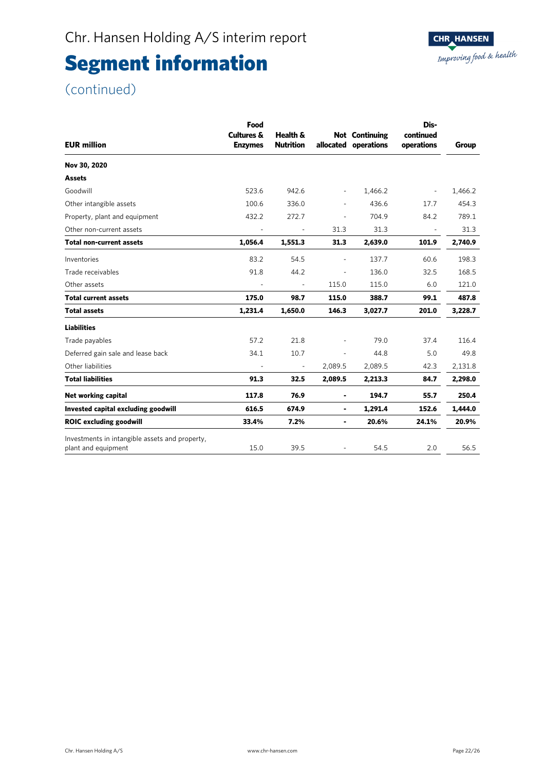### (continued)

| <b>EUR million</b>                                                    | Food<br><b>Cultures &amp;</b><br><b>Enzymes</b> | Health &<br><b>Nutrition</b> | allocated                | <b>Not</b> Continuing<br>operations | Dis-<br>continued<br>operations | <b>Group</b> |
|-----------------------------------------------------------------------|-------------------------------------------------|------------------------------|--------------------------|-------------------------------------|---------------------------------|--------------|
| Nov 30, 2020                                                          |                                                 |                              |                          |                                     |                                 |              |
| <b>Assets</b>                                                         |                                                 |                              |                          |                                     |                                 |              |
| Goodwill                                                              | 523.6                                           | 942.6                        | $\overline{\phantom{a}}$ | 1,466.2                             | $\overline{\phantom{a}}$        | 1,466.2      |
| Other intangible assets                                               | 100.6                                           | 336.0                        | $\overline{\phantom{a}}$ | 436.6                               | 17.7                            | 454.3        |
| Property, plant and equipment                                         | 432.2                                           | 272.7                        |                          | 704.9                               | 84.2                            | 789.1        |
| Other non-current assets                                              | $\overline{\phantom{a}}$                        | $\blacksquare$               | 31.3                     | 31.3                                | $\overline{\phantom{a}}$        | 31.3         |
| <b>Total non-current assets</b>                                       | 1,056.4                                         | 1,551.3                      | 31.3                     | 2,639.0                             | 101.9                           | 2,740.9      |
| Inventories                                                           | 83.2                                            | 54.5                         | $\overline{\phantom{a}}$ | 137.7                               | 60.6                            | 198.3        |
| Trade receivables                                                     | 91.8                                            | 44.2                         | $\overline{\phantom{a}}$ | 136.0                               | 32.5                            | 168.5        |
| Other assets                                                          |                                                 | ä,                           | 115.0                    | 115.0                               | 6.0                             | 121.0        |
| <b>Total current assets</b>                                           | 175.0                                           | 98.7                         | 115.0                    | 388.7                               | 99.1                            | 487.8        |
| <b>Total assets</b>                                                   | 1,231.4                                         | 1,650.0                      | 146.3                    | 3,027.7                             | 201.0                           | 3,228.7      |
| <b>Liabilities</b>                                                    |                                                 |                              |                          |                                     |                                 |              |
| Trade payables                                                        | 57.2                                            | 21.8                         |                          | 79.0                                | 37.4                            | 116.4        |
| Deferred gain sale and lease back                                     | 34.1                                            | 10.7                         | $\overline{\phantom{a}}$ | 44.8                                | 5.0                             | 49.8         |
| Other liabilities                                                     |                                                 | $\overline{\phantom{a}}$     | 2,089.5                  | 2,089.5                             | 42.3                            | 2,131.8      |
| <b>Total liabilities</b>                                              | 91.3                                            | 32.5                         | 2,089.5                  | 2,213.3                             | 84.7                            | 2,298.0      |
| <b>Net working capital</b>                                            | 117.8                                           | 76.9                         | ۰                        | 194.7                               | 55.7                            | 250.4        |
| Invested capital excluding goodwill                                   | 616.5                                           | 674.9                        | ۰                        | 1,291.4                             | 152.6                           | 1,444.0      |
| <b>ROIC excluding goodwill</b>                                        | 33.4%                                           | 7.2%                         | ٠                        | 20.6%                               | 24.1%                           | 20.9%        |
| Investments in intangible assets and property,<br>plant and equipment | 15.0                                            | 39.5                         |                          | 54.5                                | 2.0                             | 56.5         |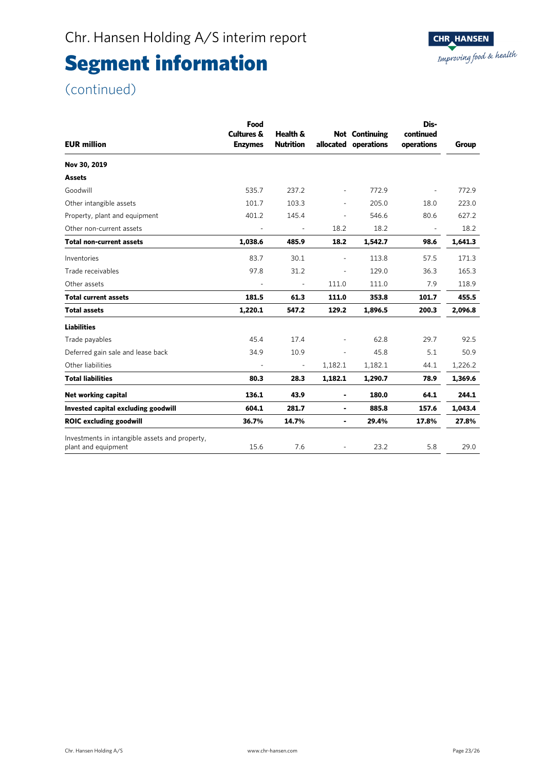### (continued)

| <b>EUR million</b>                                                    | Food<br><b>Cultures &amp;</b><br><b>Enzymes</b> | Health &<br><b>Nutrition</b> |                          | <b>Not</b> Continuing<br>allocated operations | Dis-<br>continued<br>operations | Group   |
|-----------------------------------------------------------------------|-------------------------------------------------|------------------------------|--------------------------|-----------------------------------------------|---------------------------------|---------|
| Nov 30, 2019                                                          |                                                 |                              |                          |                                               |                                 |         |
| <b>Assets</b>                                                         |                                                 |                              |                          |                                               |                                 |         |
| Goodwill                                                              | 535.7                                           | 237.2                        | ä,                       | 772.9                                         |                                 | 772.9   |
| Other intangible assets                                               | 101.7                                           | 103.3                        | ۰                        | 205.0                                         | 18.0                            | 223.0   |
| Property, plant and equipment                                         | 401.2                                           | 145.4                        | $\overline{\phantom{a}}$ | 546.6                                         | 80.6                            | 627.2   |
| Other non-current assets                                              | $\overline{\phantom{a}}$                        | $\overline{\phantom{a}}$     | 18.2                     | 18.2                                          | $\overline{\phantom{a}}$        | 18.2    |
| <b>Total non-current assets</b>                                       | 1,038.6                                         | 485.9                        | 18.2                     | 1,542.7                                       | 98.6                            | 1,641.3 |
| Inventories                                                           | 83.7                                            | 30.1                         | ä,                       | 113.8                                         | 57.5                            | 171.3   |
| Trade receivables                                                     | 97.8                                            | 31.2                         | ÷,                       | 129.0                                         | 36.3                            | 165.3   |
| Other assets                                                          | $\blacksquare$                                  |                              | 111.0                    | 111.0                                         | 7.9                             | 118.9   |
| <b>Total current assets</b>                                           | 181.5                                           | 61.3                         | 111.0                    | 353.8                                         | 101.7                           | 455.5   |
| <b>Total assets</b>                                                   | 1,220.1                                         | 547.2                        | 129.2                    | 1,896.5                                       | 200.3                           | 2,096.8 |
| <b>Liabilities</b>                                                    |                                                 |                              |                          |                                               |                                 |         |
| Trade payables                                                        | 45.4                                            | 17.4                         |                          | 62.8                                          | 29.7                            | 92.5    |
| Deferred gain sale and lease back                                     | 34.9                                            | 10.9                         |                          | 45.8                                          | 5.1                             | 50.9    |
| Other liabilities                                                     |                                                 |                              | 1,182.1                  | 1,182.1                                       | 44.1                            | 1,226.2 |
| <b>Total liabilities</b>                                              | 80.3                                            | 28.3                         | 1,182.1                  | 1,290.7                                       | 78.9                            | 1,369.6 |
| Net working capital                                                   | 136.1                                           | 43.9                         | ٠                        | 180.0                                         | 64.1                            | 244.1   |
| Invested capital excluding goodwill                                   | 604.1                                           | 281.7                        | ۰                        | 885.8                                         | 157.6                           | 1,043.4 |
| <b>ROIC</b> excluding goodwill                                        | 36.7%                                           | 14.7%                        | ٠                        | 29.4%                                         | 17.8%                           | 27.8%   |
| Investments in intangible assets and property,<br>plant and equipment | 15.6                                            | 7.6                          |                          | 23.2                                          | 5.8                             | 29.0    |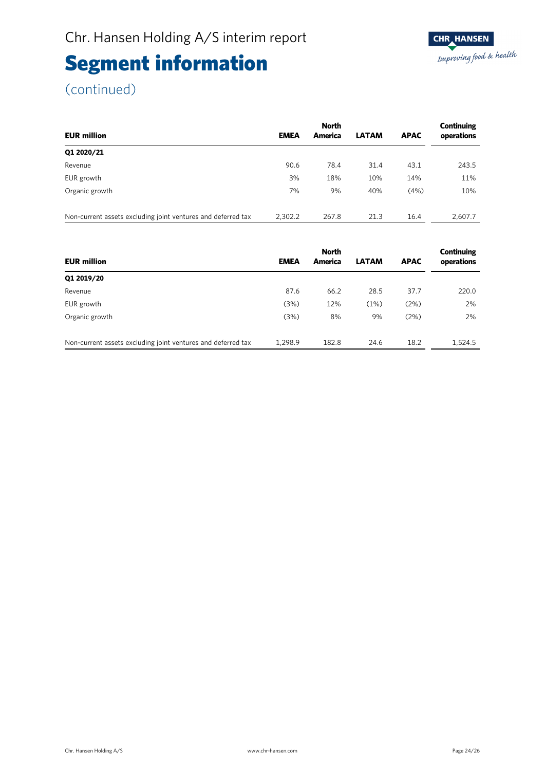(continued)

Ī

|                                                              |             | <b>North</b> |              | Continuing  |            |
|--------------------------------------------------------------|-------------|--------------|--------------|-------------|------------|
| <b>EUR million</b>                                           | <b>EMEA</b> | America      | <b>LATAM</b> | <b>APAC</b> | operations |
| Q1 2020/21                                                   |             |              |              |             |            |
| Revenue                                                      | 90.6        | 78.4         | 31.4         | 43.1        | 243.5      |
| EUR growth                                                   | 3%          | 18%          | 10%          | 14%         | 11%        |
| Organic growth                                               | 7%          | 9%           | 40%          | (4%)        | 10%        |
|                                                              |             |              |              |             |            |
| Non-current assets excluding joint ventures and deferred tax | 2,302.2     | 267.8        | 21.3         | 16.4        | 2,607.7    |

|                                                              |             | <b>North</b> |              |             | Continuing |
|--------------------------------------------------------------|-------------|--------------|--------------|-------------|------------|
| <b>EUR million</b>                                           | <b>EMEA</b> | America      | <b>LATAM</b> | <b>APAC</b> | operations |
| Q1 2019/20                                                   |             |              |              |             |            |
| Revenue                                                      | 87.6        | 66.2         | 28.5         | 37.7        | 220.0      |
| EUR growth                                                   | (3%)        | 12%          | (1%)         | (2%)        | 2%         |
| Organic growth                                               | (3%)        | 8%           | 9%           | (2%)        | 2%         |
| Non-current assets excluding joint ventures and deferred tax | 1.298.9     | 182.8        | 24.6         | 18.2        | 1.524.5    |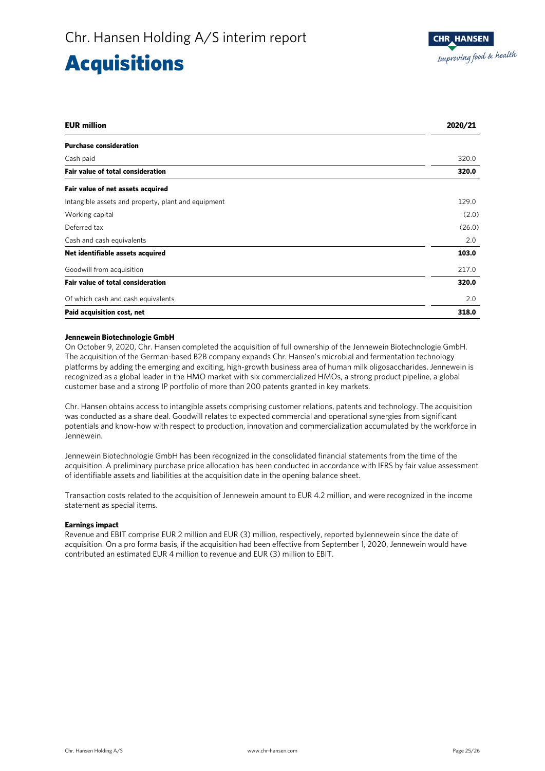### Acquisitions

| <b>EUR million</b>                                  | 2020/21 |
|-----------------------------------------------------|---------|
| <b>Purchase consideration</b>                       |         |
| Cash paid                                           | 320.0   |
| <b>Fair value of total consideration</b>            | 320.0   |
| Fair value of net assets acquired                   |         |
| Intangible assets and property, plant and equipment | 129.0   |
| Working capital                                     | (2.0)   |
| Deferred tax                                        | (26.0)  |
| Cash and cash equivalents                           | 2.0     |
| Net identifiable assets acquired                    | 103.0   |
| Goodwill from acquisition                           | 217.0   |
| Fair value of total consideration                   | 320.0   |
| Of which cash and cash equivalents                  | 2.0     |
| Paid acquisition cost, net                          | 318.0   |

### **Jennewein Biotechnologie GmbH**

On October 9, 2020, Chr. Hansen completed the acquisition of full ownership of the Jennewein Biotechnologie GmbH. The acquisition of the German-based B2B company expands Chr. Hansen's microbial and fermentation technology platforms by adding the emerging and exciting, high-growth business area of human milk oligosaccharides. Jennewein is recognized as a global leader in the HMO market with six commercialized HMOs, a strong product pipeline, a global customer base and a strong IP portfolio of more than 200 patents granted in key markets.

Chr. Hansen obtains access to intangible assets comprising customer relations, patents and technology. The acquisition was conducted as a share deal. Goodwill relates to expected commercial and operational synergies from significant potentials and know-how with respect to production, innovation and commercialization accumulated by the workforce in Jennewein.

Jennewein Biotechnologie GmbH has been recognized in the consolidated financial statements from the time of the acquisition. A preliminary purchase price allocation has been conducted in accordance with IFRS by fair value assessment of identifiable assets and liabilities at the acquisition date in the opening balance sheet.

Transaction costs related to the acquisition of Jennewein amount to EUR 4.2 million, and were recognized in the income statement as special items.

### **Earnings impact**

Revenue and EBIT comprise EUR 2 million and EUR (3) million, respectively, reported byJennewein since the date of acquisition. On a pro forma basis, if the acquisition had been effective from September 1, 2020, Jennewein would have contributed an estimated EUR 4 million to revenue and EUR (3) million to EBIT.